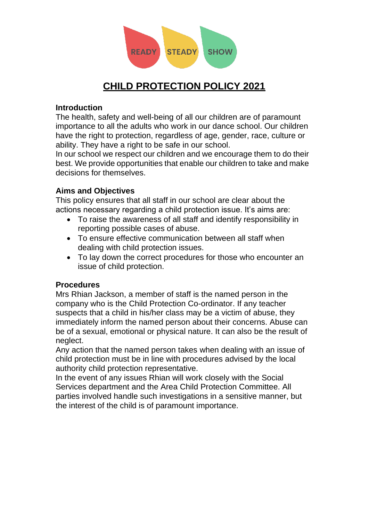

# **CHILD PROTECTION POLICY 2021**

## **Introduction**

The health, safety and well-being of all our children are of paramount importance to all the adults who work in our dance school. Our children have the right to protection, regardless of age, gender, race, culture or ability. They have a right to be safe in our school.

In our school we respect our children and we encourage them to do their best. We provide opportunities that enable our children to take and make decisions for themselves.

# **Aims and Objectives**

This policy ensures that all staff in our school are clear about the actions necessary regarding a child protection issue. It's aims are:

- To raise the awareness of all staff and identify responsibility in reporting possible cases of abuse.
- To ensure effective communication between all staff when dealing with child protection issues.
- To lay down the correct procedures for those who encounter an issue of child protection.

### **Procedures**

Mrs Rhian Jackson, a member of staff is the named person in the company who is the Child Protection Co-ordinator. If any teacher suspects that a child in his/her class may be a victim of abuse, they immediately inform the named person about their concerns. Abuse can be of a sexual, emotional or physical nature. It can also be the result of neglect.

Any action that the named person takes when dealing with an issue of child protection must be in line with procedures advised by the local authority child protection representative.

In the event of any issues Rhian will work closely with the Social Services department and the Area Child Protection Committee. All parties involved handle such investigations in a sensitive manner, but the interest of the child is of paramount importance.